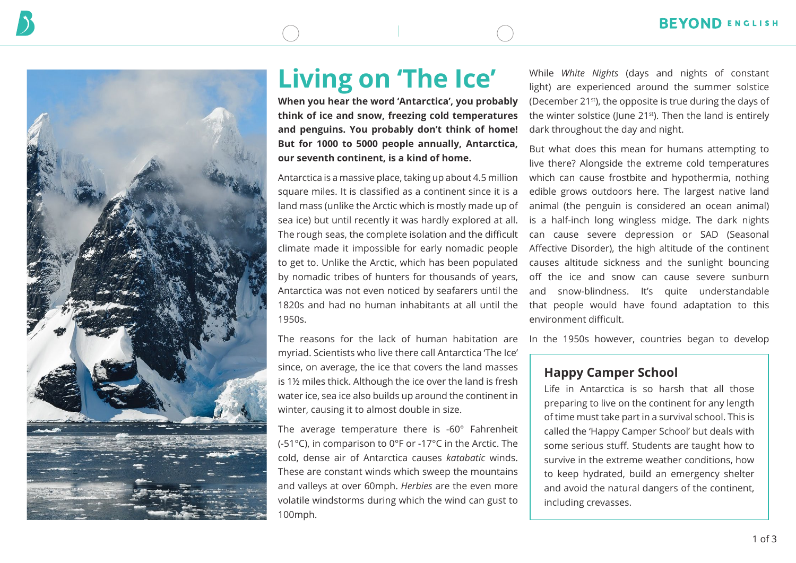



# **Living on 'The Ice'**

**When you hear the word 'Antarctica', you probably think of ice and snow, freezing cold temperatures and penguins. You probably don't think of home! But for 1000 to 5000 people annually, Antarctica, our seventh continent, is a kind of home.**

Antarctica is a massive place, taking up about 4.5 million square miles. It is classified as a continent since it is a land mass (unlike the Arctic which is mostly made up of sea ice) but until recently it was hardly explored at all. The rough seas, the complete isolation and the difficult climate made it impossible for early nomadic people to get to. Unlike the Arctic, which has been populated by nomadic tribes of hunters for thousands of years, Antarctica was not even noticed by seafarers until the 1820s and had no human inhabitants at all until the 1950s.

The reasons for the lack of human habitation are myriad. Scientists who live there call Antarctica 'The Ice' since, on average, the ice that covers the land masses is 1½ miles thick. Although the ice over the land is fresh water ice, sea ice also builds up around the continent in winter, causing it to almost double in size.

The average temperature there is -60° Fahrenheit (-51°C), in comparison to 0°F or -17°C in the Arctic. The cold, dense air of Antarctica causes *katabatic* winds. These are constant winds which sweep the mountains and valleys at over 60mph. *Herbies* are the even more volatile windstorms during which the wind can gust to 100mph.

While *White Nights* (days and nights of constant light) are experienced around the summer solstice (December 21st), the opposite is true during the days of the winter solstice (June 21<sup>st</sup>). Then the land is entirely dark throughout the day and night.

But what does this mean for humans attempting to live there? Alongside the extreme cold temperatures which can cause frostbite and hypothermia, nothing edible grows outdoors here. The largest native land animal (the penguin is considered an ocean animal) is a half-inch long wingless midge. The dark nights can cause severe depression or SAD (Seasonal Affective Disorder), the high altitude of the continent causes altitude sickness and the sunlight bouncing off the ice and snow can cause severe sunburn and snow-blindness. It's quite understandable that people would have found adaptation to this environment difficult.

In the 1950s however, countries began to develop

# **Happy Camper School**

Life in Antarctica is so harsh that all those preparing to live on the continent for any length of time must take part in a survival school. This is called the 'Happy Camper School' but deals with some serious stuff. Students are taught how to survive in the extreme weather conditions, how to keep hydrated, build an emergency shelter and avoid the natural dangers of the continent, including crevasses.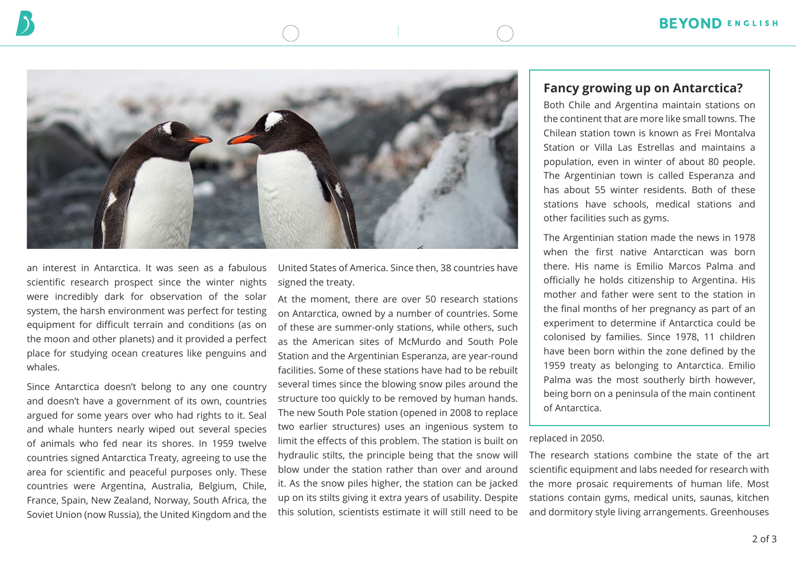

an interest in Antarctica. It was seen as a fabulous scientific research prospect since the winter nights were incredibly dark for observation of the solar system, the harsh environment was perfect for testing equipment for difficult terrain and conditions (as on the moon and other planets) and it provided a perfect place for studying ocean creatures like penguins and whales.

Since Antarctica doesn't belong to any one country and doesn't have a government of its own, countries argued for some years over who had rights to it. Seal and whale hunters nearly wiped out several species of animals who fed near its shores. In 1959 twelve countries signed Antarctica Treaty, agreeing to use the area for scientific and peaceful purposes only. These countries were Argentina, Australia, Belgium, Chile, France, Spain, New Zealand, Norway, South Africa, the Soviet Union (now Russia), the United Kingdom and the United States of America. Since then, 38 countries have signed the treaty.

At the moment, there are over 50 research stations on Antarctica, owned by a number of countries. Some of these are summer-only stations, while others, such as the American sites of McMurdo and South Pole Station and the Argentinian Esperanza, are year-round facilities. Some of these stations have had to be rebuilt several times since the blowing snow piles around the structure too quickly to be removed by human hands. The new South Pole station (opened in 2008 to replace two earlier structures) uses an ingenious system to limit the effects of this problem. The station is built on hydraulic stilts, the principle being that the snow will blow under the station rather than over and around it. As the snow piles higher, the station can be jacked up on its stilts giving it extra years of usability. Despite this solution, scientists estimate it will still need to be

### **Fancy growing up on Antarctica?**

Both Chile and Argentina maintain stations on the continent that are more like small towns. The Chilean station town is known as Frei Montalva Station or Villa Las Estrellas and maintains a population, even in winter of about 80 people. The Argentinian town is called Esperanza and has about 55 winter residents. Both of these stations have schools, medical stations and other facilities such as gyms.

The Argentinian station made the news in 1978 when the first native Antarctican was born there. His name is Emilio Marcos Palma and officially he holds citizenship to Argentina. His mother and father were sent to the station in the final months of her pregnancy as part of an experiment to determine if Antarctica could be colonised by families. Since 1978, 11 children have been born within the zone defined by the 1959 treaty as belonging to Antarctica. Emilio Palma was the most southerly birth however, being born on a peninsula of the main continent of Antarctica.

#### replaced in 2050.

The research stations combine the state of the art scientific equipment and labs needed for research with the more prosaic requirements of human life. Most stations contain gyms, medical units, saunas, kitchen and dormitory style living arrangements. Greenhouses